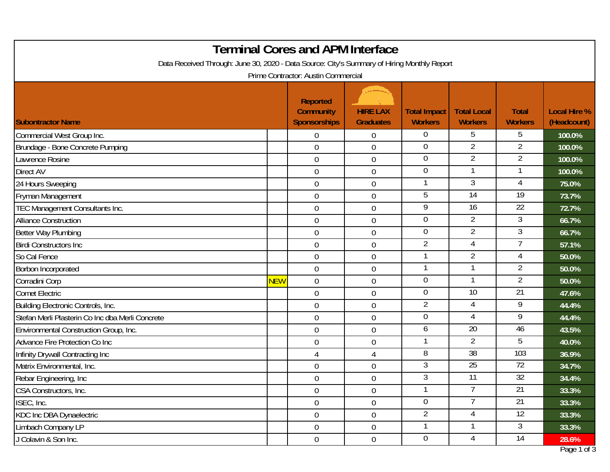| <b>Terminal Cores and APM Interface</b>                                                                                            |                  |                                                            |                                     |                                       |                                      |                                |                                    |  |
|------------------------------------------------------------------------------------------------------------------------------------|------------------|------------------------------------------------------------|-------------------------------------|---------------------------------------|--------------------------------------|--------------------------------|------------------------------------|--|
| Data Received Through: June 30, 2020 - Data Source: City's Summary of Hiring Monthly Report<br>Prime Contractor: Austin Commercial |                  |                                                            |                                     |                                       |                                      |                                |                                    |  |
| <b>Subontractor Name</b>                                                                                                           |                  | <b>Reported</b><br><b>Community</b><br><b>Sponsorships</b> | <b>HIRE LAX</b><br><b>Graduates</b> | <b>Total Impact</b><br><b>Workers</b> | <b>Total Local</b><br><b>Workers</b> | <b>Total</b><br><b>Workers</b> | <b>Local Hire %</b><br>(Headcount) |  |
| Commercial West Group Inc.                                                                                                         |                  | $\mathbf 0$                                                | $\overline{0}$                      | $\overline{0}$                        | 5                                    | 5                              | 100.0%                             |  |
| Brundage - Bone Concrete Pumping                                                                                                   |                  | $\mathbf 0$                                                | $\mathbf 0$                         | $\overline{0}$                        | $\overline{2}$                       | 2                              | 100.0%                             |  |
| Lawrence Rosine                                                                                                                    |                  | $\mathbf 0$                                                | $\boldsymbol{0}$                    | $\boldsymbol{0}$                      | $\overline{2}$                       | $\overline{2}$                 | 100.0%                             |  |
| Direct AV                                                                                                                          |                  | $\mathbf 0$                                                | $\mathbf 0$                         | $\boldsymbol{0}$                      | $\mathbf{1}$                         | $\mathbf{1}$                   | 100.0%                             |  |
| 24 Hours Sweeping                                                                                                                  |                  | $\mathbf 0$                                                | $\mathbf 0$                         | $\mathbf 1$                           | $\mathfrak{Z}$                       | 4                              | 75.0%                              |  |
| Fryman Management                                                                                                                  |                  | $\boldsymbol{0}$                                           | $\mathbf 0$                         | 5                                     | $\overline{14}$                      | $\overline{19}$                | 73.7%                              |  |
| TEC Management Consultants Inc.                                                                                                    |                  | $\mathbf 0$                                                | $\mathbf 0$                         | 9                                     | $\overline{16}$                      | $\overline{22}$                | 72.7%                              |  |
| <b>Alliance Construction</b>                                                                                                       |                  | $\mathbf 0$                                                | $\mathbf 0$                         | $\boldsymbol{0}$                      | $\overline{2}$                       | 3                              | 66.7%                              |  |
| Better Way Plumbing                                                                                                                |                  | $\boldsymbol{0}$                                           | 0                                   | $\mathbf 0$                           | $\overline{2}$                       | 3                              | 66.7%                              |  |
| <b>Birdi Constructors Inc</b>                                                                                                      |                  | $\mathbf 0$                                                | $\overline{0}$                      | $\overline{2}$                        | $\overline{4}$                       | 7                              | 57.1%                              |  |
| So Cal Fence                                                                                                                       |                  | $\mathbf 0$                                                | $\mathbf 0$                         | $\mathbf{1}$                          | $\overline{2}$                       | 4                              | 50.0%                              |  |
| Borbon Incorporated                                                                                                                |                  | $\boldsymbol{0}$                                           | $\boldsymbol{0}$                    | $\mathbf{1}$                          | $\mathbf 1$                          | $\overline{2}$                 | 50.0%                              |  |
| Corradini Corp                                                                                                                     | <mark>NEW</mark> | $\mathbf 0$                                                | $\mathbf 0$                         | $\boldsymbol{0}$                      | $\mathbf{1}$                         | $\overline{2}$                 | 50.0%                              |  |
| <b>Comet Electric</b>                                                                                                              |                  | $\mathbf 0$                                                | $\mathbf 0$                         | $\overline{0}$                        | $\overline{10}$                      | 21                             | 47.6%                              |  |
| Building Electronic Controls, Inc.                                                                                                 |                  | $\boldsymbol{0}$                                           | $\mathbf 0$                         | $\overline{2}$                        | $\overline{4}$                       | 9                              | 44.4%                              |  |
| Stefan Merli Plasterin Co Inc dba Merli Concrete                                                                                   |                  | $\boldsymbol{0}$                                           | $\mathbf 0$                         | $\boldsymbol{0}$                      | $\overline{4}$                       | 9                              | 44.4%                              |  |
| Environmental Construction Group, Inc.                                                                                             |                  | $\mathbf 0$                                                | $\mathbf 0$                         | 6                                     | 20                                   | 46                             | 43.5%                              |  |
| Advance Fire Protection Co Inc                                                                                                     |                  | $\mathbf 0$                                                | $\mathbf 0$                         | $\mathbf{1}$                          | $\overline{2}$                       | 5                              | 40.0%                              |  |
| Infinity Drywall Contracting Inc                                                                                                   |                  | $\overline{4}$                                             | 4                                   | 8                                     | $\overline{38}$                      | 103                            | 36.9%                              |  |
| Matrix Environmental, Inc.                                                                                                         |                  | $\mathbf 0$                                                | 0                                   | 3                                     | $\overline{25}$                      | $\overline{72}$                | 34.7%                              |  |
| Rebar Engineering, Inc                                                                                                             |                  | $\mathbf 0$                                                | $\mathbf 0$                         | 3                                     | 11                                   | 32                             | 34.4%                              |  |
| CSA Constructors, Inc.                                                                                                             |                  | $\mathbf 0$                                                | $\mathbf 0$                         | $\mathbf 1$                           | 7                                    | $\overline{21}$                | 33.3%                              |  |
| ISEC, Inc.                                                                                                                         |                  | $\boldsymbol{0}$                                           | $\boldsymbol{0}$                    | $\overline{0}$                        | 7                                    | $\overline{21}$                | 33.3%                              |  |
| <b>KDC Inc DBA Dynaelectric</b>                                                                                                    |                  | $\boldsymbol{0}$                                           | $\boldsymbol{0}$                    | $\overline{2}$                        | 4                                    | 12                             | 33.3%                              |  |
| Limbach Company LP                                                                                                                 |                  | $\boldsymbol{0}$                                           | $\boldsymbol{0}$                    | $\mathbf 1$                           |                                      | 3                              | 33.3%                              |  |
| J Colavin & Son Inc.                                                                                                               |                  | $\boldsymbol{0}$                                           | $\boldsymbol{0}$                    | $\boldsymbol{0}$                      | $\overline{4}$                       | $\overline{14}$                | 28.6%                              |  |
|                                                                                                                                    |                  |                                                            |                                     |                                       |                                      |                                | Page 1 of 3                        |  |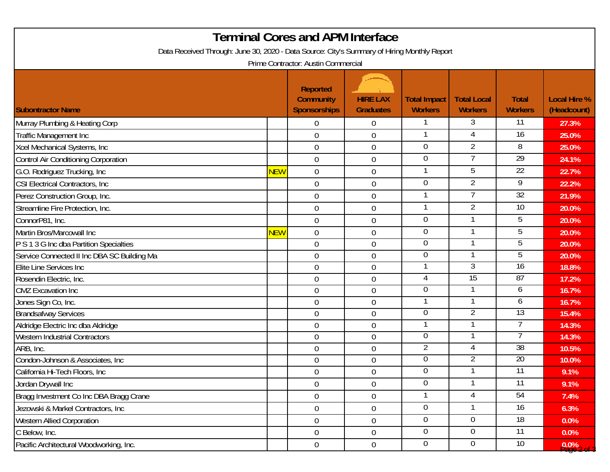|                                                                                             |            | <b>Terminal Cores and APM Interface</b>             |                                     |                                       |                                      |                                |                                    |  |
|---------------------------------------------------------------------------------------------|------------|-----------------------------------------------------|-------------------------------------|---------------------------------------|--------------------------------------|--------------------------------|------------------------------------|--|
| Data Received Through: June 30, 2020 - Data Source: City's Summary of Hiring Monthly Report |            |                                                     |                                     |                                       |                                      |                                |                                    |  |
| Prime Contractor: Austin Commercial                                                         |            |                                                     |                                     |                                       |                                      |                                |                                    |  |
| <b>Subontractor Name</b>                                                                    |            | Reported<br><b>Community</b><br><b>Sponsorships</b> | <b>HIRE LAX</b><br><b>Graduates</b> | <b>Total Impact</b><br><b>Workers</b> | <b>Total Local</b><br><b>Workers</b> | <b>Total</b><br><b>Workers</b> | <b>Local Hire %</b><br>(Headcount) |  |
| Murray Plumbing & Heating Corp                                                              |            | $\overline{0}$                                      | $\overline{0}$                      |                                       | 3                                    | 11                             | 27.3%                              |  |
| Traffic Management Inc                                                                      |            | $\overline{0}$                                      | $\mathbf 0$                         |                                       | 4                                    | $\overline{16}$                | 25.0%                              |  |
| Xcel Mechanical Systems, Inc                                                                |            | $\boldsymbol{0}$                                    | $\overline{0}$                      | $\overline{0}$                        | $\overline{2}$                       | $\overline{8}$                 | 25.0%                              |  |
| Control Air Conditioning Corporation                                                        |            | $\mathbf 0$                                         | $\mathbf 0$                         | $\mathbf 0$                           | 7                                    | 29                             | 24.1%                              |  |
| G.O. Rodriguez Trucking, Inc.                                                               | <b>NEW</b> | $\overline{0}$                                      | $\mathbf 0$                         |                                       | 5                                    | 22                             | 22.7%                              |  |
| CSI Electrical Contractors, Inc.                                                            |            | $\mathbf 0$                                         | $\overline{0}$                      | 0                                     | $\overline{2}$                       | 9                              | 22.2%                              |  |
| Perez Construction Group, Inc.                                                              |            | $\overline{0}$                                      | $\overline{0}$                      |                                       | 7                                    | $\overline{32}$                | 21.9%                              |  |
| Streamline Fire Protection, Inc.                                                            |            | $\mathbf 0$                                         | $\mathbf 0$                         | 1                                     | $\overline{2}$                       | $\overline{10}$                | 20.0%                              |  |
| ConnorP81, Inc.                                                                             |            | $\overline{0}$                                      | $\mathbf 0$                         | $\mathbf 0$                           |                                      | 5                              | 20.0%                              |  |
| Martin Bros/Marcowall Inc                                                                   | <b>NEW</b> | $\boldsymbol{0}$                                    | $\mathbf 0$                         | 0                                     |                                      | 5                              | 20.0%                              |  |
| P S 1 3 G Inc dba Partition Specialties                                                     |            | $\mathbf 0$                                         | $0\,$                               | $\overline{0}$                        |                                      | 5                              | 20.0%                              |  |
| Service Connected II Inc DBA SC Building Ma                                                 |            | $\overline{0}$                                      | $\mathbf 0$                         | 0                                     |                                      | 5                              | 20.0%                              |  |
| Elite Line Services Inc                                                                     |            | $\overline{0}$                                      | $\overline{0}$                      |                                       | 3                                    | 16                             | 18.8%                              |  |
| Rosendin Electric, Inc.                                                                     |            | $\overline{0}$                                      | $\overline{0}$                      | 4                                     | 15                                   | 87                             | 17.2%                              |  |
| <b>CMZ</b> Excavation Inc                                                                   |            | $\mathbf 0$                                         | $\overline{0}$                      | 0                                     |                                      | 6                              | 16.7%                              |  |
| Jones Sign Co, Inc.                                                                         |            | $\overline{0}$                                      | $\overline{0}$                      |                                       |                                      | 6                              | 16.7%                              |  |
| <b>Brandsafway Services</b>                                                                 |            | $\overline{0}$                                      | $\overline{0}$                      | 0                                     | 2                                    | 13                             | 15.4%                              |  |
| Aldridge Electric Inc dba Aldridge                                                          |            | $\overline{0}$                                      | $\boldsymbol{0}$                    |                                       |                                      |                                | 14.3%                              |  |
| <b>Western Industrial Contractors</b>                                                       |            | $\mathbf 0$                                         | $\boldsymbol{0}$                    | 0                                     |                                      |                                | 14.3%                              |  |
| ARB, Inc.                                                                                   |            | $\overline{0}$                                      | $\overline{0}$                      | $\overline{2}$                        | 4                                    | 38                             | 10.5%                              |  |
| Condon-Johnson & Associates, Inc                                                            |            | $\boldsymbol{0}$                                    | $\boldsymbol{0}$                    | $\overline{0}$                        | $\overline{2}$                       | 20                             | 10.0%                              |  |
| California Hi-Tech Floors, Inc                                                              |            | $\overline{0}$                                      | $\overline{0}$                      | $\Omega$                              |                                      | $\overline{11}$                | 9.1%                               |  |
| Jordan Drywall Inc                                                                          |            | $\overline{0}$                                      | $0\,$                               | 0                                     |                                      | $\overline{11}$                | 9.1%                               |  |
| Bragg Investment Co Inc DBA Bragg Crane                                                     |            | $\overline{0}$                                      | $\overline{0}$                      | -1                                    | 4                                    | 54                             | $7.4\%$                            |  |
| Jezowski & Markel Contractors, Inc                                                          |            | $\mathbf 0$                                         | $\overline{0}$                      | 0                                     |                                      | 16                             | 6.3%                               |  |
| Western Allied Corporation                                                                  |            | $\boldsymbol{0}$                                    | $0\,$                               | $\overline{0}$                        | $\overline{0}$                       | $\overline{18}$                | 0.0%                               |  |
| C Below, Inc.                                                                               |            | $\mathbf 0$                                         | $\overline{0}$                      | $\overline{0}$                        | $\overline{0}$                       | 11                             | 0.0%                               |  |
| Pacific Architectural Woodworking, Inc.                                                     |            | $\overline{0}$                                      | $\overline{0}$                      | $\overline{0}$                        | $\overline{0}$                       | 10                             | $9.0\%$ 2 of                       |  |